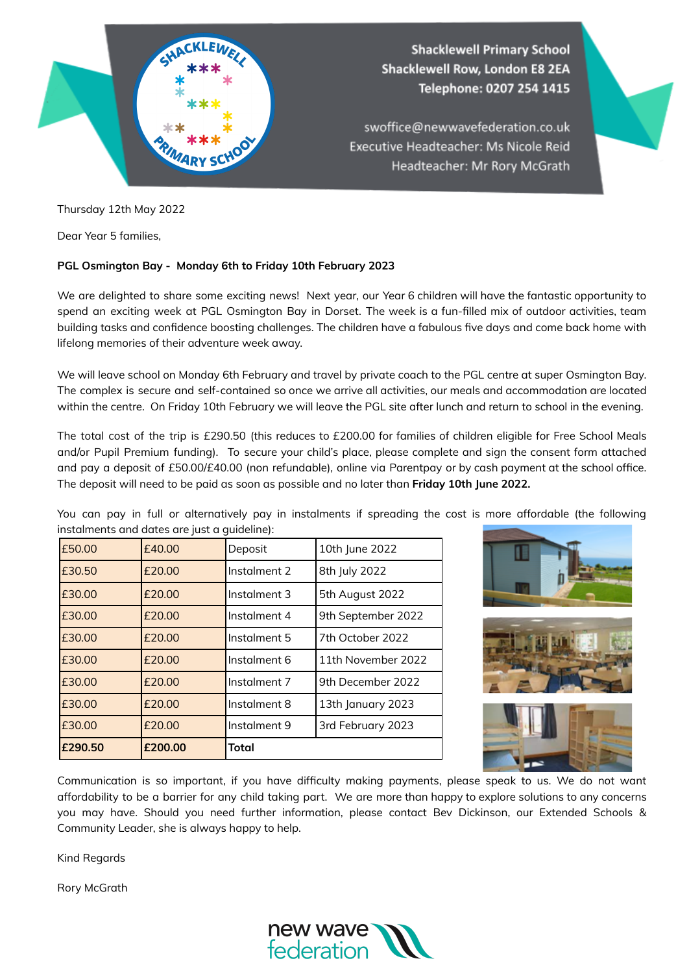

Thursday 12th May 2022

Dear Year 5 families,

## **PGL Osmington Bay - Monday 6th to Friday 10th February 2023**

We are delighted to share some exciting news! Next year, our Year 6 children will have the fantastic opportunity to spend an exciting week at PGL Osmington Bay in Dorset. The week is a fun-filled mix of outdoor activities, team building tasks and confidence boosting challenges. The children have a fabulous five days and come back home with lifelong memories of their adventure week away.

We will leave school on Monday 6th February and travel by private coach to the PGL centre at super Osmington Bay. The complex is secure and self-contained so once we arrive all activities, our meals and accommodation are located within the centre. On Friday 10th February we will leave the PGL site after lunch and return to school in the evening.

The total cost of the trip is £290.50 (this reduces to £200.00 for families of children eligible for Free School Meals and/or Pupil Premium funding). To secure your child's place, please complete and sign the consent form attached and pay a deposit of £50.00/£40.00 (non refundable), online via Parentpay or by cash payment at the school office. The deposit will need to be paid as soon as possible and no later than **Friday 10th June 2022.**

You can pay in full or alternatively pay in instalments if spreading the cost is more affordable (the following instalments and dates are just a quideline):

| £50.00  | £40.00  | Deposit      | 10th June 2022     |
|---------|---------|--------------|--------------------|
| £30.50  | £20.00  | Instalment 2 | 8th July 2022      |
| £30.00  | £20.00  | Instalment 3 | 5th August 2022    |
| £30.00  | £20.00  | Instalment 4 | 9th September 2022 |
| £30.00  | £20.00  | Instalment 5 | 7th October 2022   |
| £30.00  | £20.00  | Instalment 6 | 11th November 2022 |
| £30.00  | £20.00  | Instalment 7 | 9th December 2022  |
| £30.00  | £20.00  | Instalment 8 | 13th January 2023  |
| £30.00  | £20.00  | Instalment 9 | 3rd February 2023  |
| £290.50 | £200.00 | <b>Total</b> |                    |







Communication is so important, if you have difficulty making payments, please speak to us. We do not want affordability to be a barrier for any child taking part. We are more than happy to explore solutions to any concerns you may have. Should you need further information, please contact Bev Dickinson, our Extended Schools & Community Leader, she is always happy to help.

Kind Regards

Rory McGrath